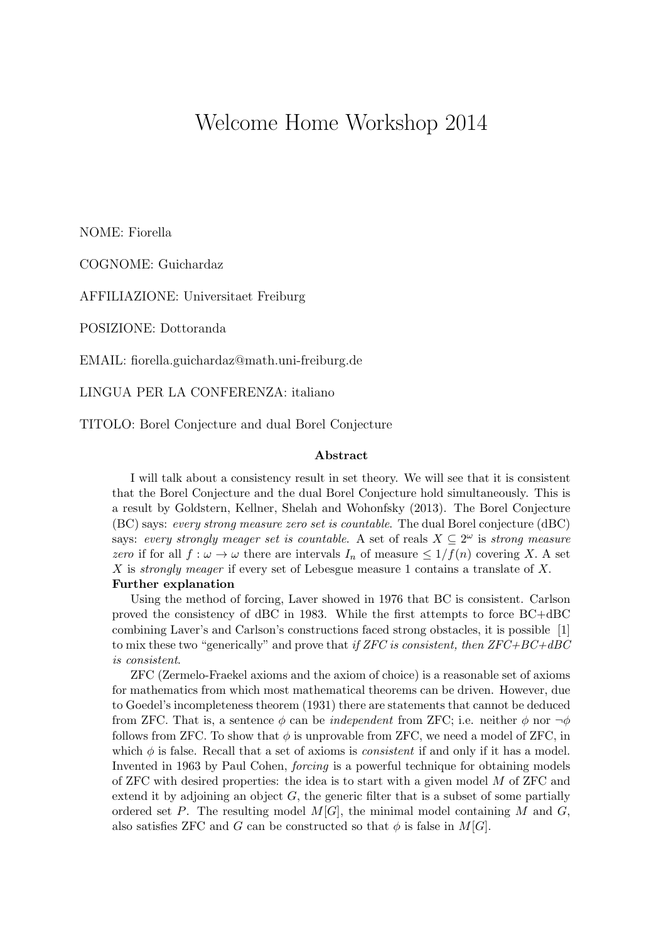## Welcome Home Workshop 2014

NOME: Fiorella

COGNOME: Guichardaz

AFFILIAZIONE: Universitaet Freiburg

POSIZIONE: Dottoranda

EMAIL: fiorella.guichardaz@math.uni-freiburg.de

LINGUA PER LA CONFERENZA: italiano

TITOLO: Borel Conjecture and dual Borel Conjecture

## Abstract

I will talk about a consistency result in set theory. We will see that it is consistent that the Borel Conjecture and the dual Borel Conjecture hold simultaneously. This is a result by Goldstern, Kellner, Shelah and Wohonfsky (2013). The Borel Conjecture (BC) says: every strong measure zero set is countable. The dual Borel conjecture (dBC) says: every strongly meager set is countable. A set of reals  $X \subseteq 2^{\omega}$  is strong measure zero if for all  $f : \omega \to \omega$  there are intervals  $I_n$  of measure  $\leq 1/f(n)$  covering X. A set X is strongly meager if every set of Lebesgue measure 1 contains a translate of X.

Further explanation

Using the method of forcing, Laver showed in 1976 that BC is consistent. Carlson proved the consistency of dBC in 1983. While the first attempts to force BC+dBC combining Laver's and Carlson's constructions faced strong obstacles, it is possible [1] to mix these two "generically" and prove that if ZFC is consistent, then  $ZFC+BC+ABC$ is consistent.

ZFC (Zermelo-Fraekel axioms and the axiom of choice) is a reasonable set of axioms for mathematics from which most mathematical theorems can be driven. However, due to Goedel's incompleteness theorem (1931) there are statements that cannot be deduced from ZFC. That is, a sentence  $\phi$  can be *independent* from ZFC; i.e. neither  $\phi$  nor  $\neg \phi$ follows from ZFC. To show that  $\phi$  is unprovable from ZFC, we need a model of ZFC, in which  $\phi$  is false. Recall that a set of axioms is *consistent* if and only if it has a model. Invented in 1963 by Paul Cohen, forcing is a powerful technique for obtaining models of ZFC with desired properties: the idea is to start with a given model M of ZFC and extend it by adjoining an object  $G$ , the generic filter that is a subset of some partially ordered set P. The resulting model  $M[G]$ , the minimal model containing M and G, also satisfies ZFC and G can be constructed so that  $\phi$  is false in  $M[G]$ .